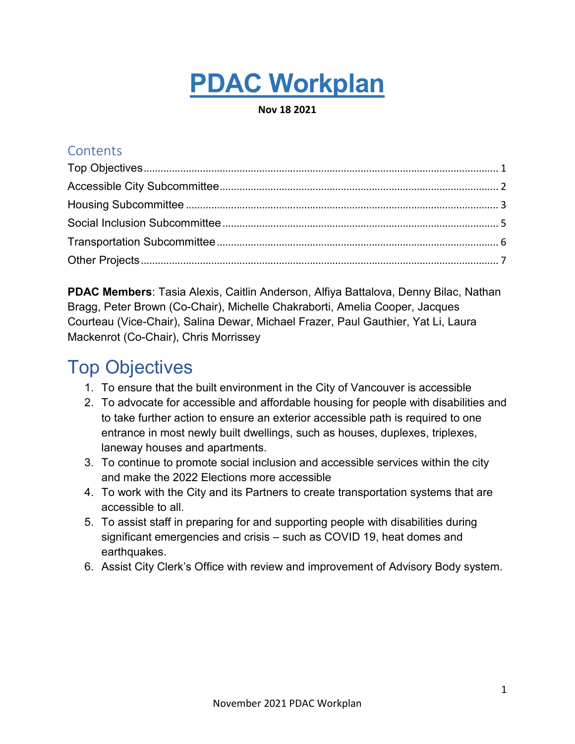# **PDAC Workplan**

**Nov 18 2021**

#### **Contents**

**PDAC Members**: Tasia Alexis, Caitlin Anderson, Alfiya Battalova, Denny Bilac, Nathan Bragg, Peter Brown (Co-Chair), Michelle Chakraborti, Amelia Cooper, Jacques Courteau (Vice-Chair), Salina Dewar, Michael Frazer, Paul Gauthier, Yat Li, Laura Mackenrot (Co-Chair), Chris Morrissey

### <span id="page-0-0"></span>Top Objectives

- 1. To ensure that the built environment in the City of Vancouver is accessible
- 2. To advocate for accessible and affordable housing for people with disabilities and to take further action to ensure an exterior accessible path is required to one entrance in most newly built dwellings, such as houses, duplexes, triplexes, laneway houses and apartments.
- 3. To continue to promote social inclusion and accessible services within the city and make the 2022 Elections more accessible
- 4. To work with the City and its Partners to create transportation systems that are accessible to all.
- 5. To assist staff in preparing for and supporting people with disabilities during significant emergencies and crisis – such as COVID 19, heat domes and earthquakes.
- 6. Assist City Clerk's Office with review and improvement of Advisory Body system.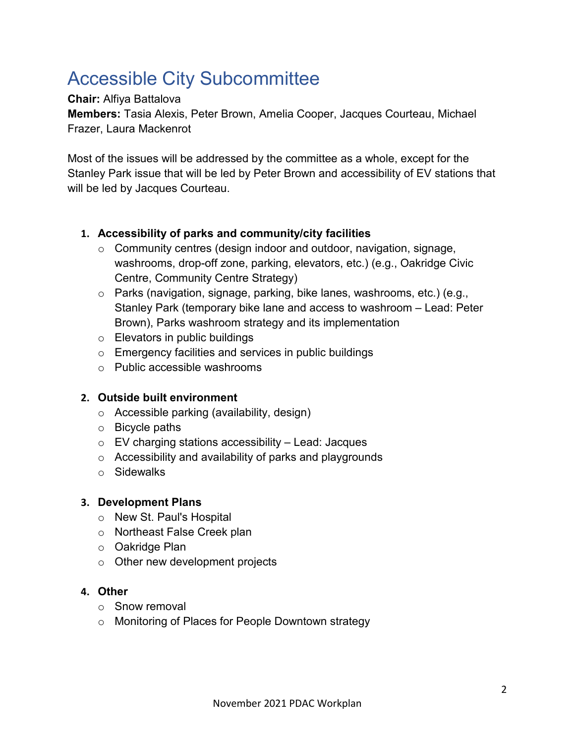# <span id="page-1-0"></span>Accessible City Subcommittee

#### **Chair:** Alfiya Battalova

**Members:** Tasia Alexis, Peter Brown, Amelia Cooper, Jacques Courteau, Michael Frazer, Laura Mackenrot

Most of the issues will be addressed by the committee as a whole, except for the Stanley Park issue that will be led by Peter Brown and accessibility of EV stations that will be led by Jacques Courteau.

#### **1. Accessibility of parks and community/city facilities**

- o Community centres (design indoor and outdoor, navigation, signage, washrooms, drop-off zone, parking, elevators, etc.) (e.g., Oakridge Civic Centre, Community Centre Strategy)
- o Parks (navigation, signage, parking, bike lanes, washrooms, etc.) (e.g., Stanley Park (temporary bike lane and access to washroom – Lead: Peter Brown), Parks washroom strategy and its implementation
- $\circ$  Elevators in public buildings
- o Emergency facilities and services in public buildings
- o Public accessible washrooms

#### **2. Outside built environment**

- o Accessible parking (availability, design)
- o Bicycle paths
- $\circ$  EV charging stations accessibility Lead: Jacques
- o Accessibility and availability of parks and playgrounds
- o Sidewalks

#### **3. Development Plans**

- o New St. Paul's Hospital
- o Northeast False Creek plan
- o Oakridge Plan
- $\circ$  Other new development projects

#### **4. Other**

- o Snow removal
- o Monitoring of Places for People Downtown strategy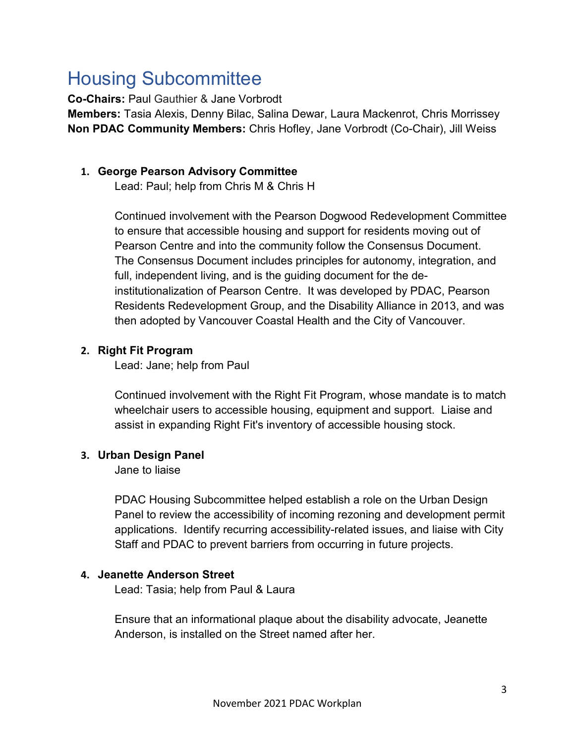# <span id="page-2-0"></span>Housing Subcommittee

**Co-Chairs:** Paul Gauthier & Jane Vorbrodt

**Members:** Tasia Alexis, Denny Bilac, Salina Dewar, Laura Mackenrot, Chris Morrissey **Non PDAC Community Members:** Chris Hofley, Jane Vorbrodt (Co-Chair), Jill Weiss

#### **1. George Pearson Advisory Committee**

Lead: Paul; help from Chris M & Chris H

Continued involvement with the Pearson Dogwood Redevelopment Committee to ensure that accessible housing and support for residents moving out of Pearson Centre and into the community follow the Consensus Document. The Consensus Document includes principles for autonomy, integration, and full, independent living, and is the guiding document for the deinstitutionalization of Pearson Centre. It was developed by PDAC, Pearson Residents Redevelopment Group, and the Disability Alliance in 2013, and was then adopted by Vancouver Coastal Health and the City of Vancouver.

#### **2. Right Fit Program**

Lead: Jane; help from Paul

Continued involvement with the Right Fit Program, whose mandate is to match wheelchair users to accessible housing, equipment and support. Liaise and assist in expanding Right Fit's inventory of accessible housing stock.

#### **3. Urban Design Panel**

Jane to liaise

PDAC Housing Subcommittee helped establish a role on the Urban Design Panel to review the accessibility of incoming rezoning and development permit applications. Identify recurring accessibility-related issues, and liaise with City Staff and PDAC to prevent barriers from occurring in future projects.

#### **4. Jeanette Anderson Street**

Lead: Tasia; help from Paul & Laura

Ensure that an informational plaque about the disability advocate, Jeanette Anderson, is installed on the Street named after her.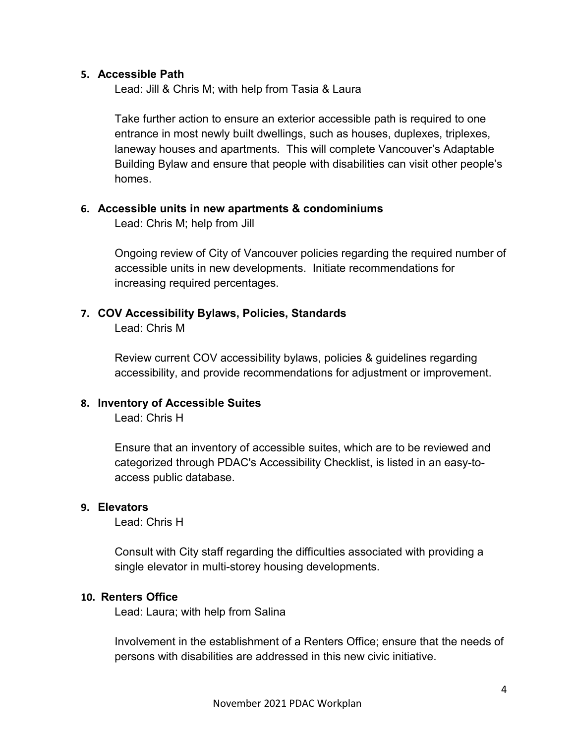#### **5. Accessible Path**

Lead: Jill & Chris M; with help from Tasia & Laura

Take further action to ensure an exterior accessible path is required to one entrance in most newly built dwellings, such as houses, duplexes, triplexes, laneway houses and apartments. This will complete Vancouver's Adaptable Building Bylaw and ensure that people with disabilities can visit other people's homes.

#### **6. Accessible units in new apartments & condominiums**

Lead: Chris M; help from Jill

Ongoing review of City of Vancouver policies regarding the required number of accessible units in new developments. Initiate recommendations for increasing required percentages.

#### **7. COV Accessibility Bylaws, Policies, Standards**

Lead: Chris M

Review current COV accessibility bylaws, policies & guidelines regarding accessibility, and provide recommendations for adjustment or improvement.

#### **8. Inventory of Accessible Suites**

Lead: Chris H

Ensure that an inventory of accessible suites, which are to be reviewed and categorized through PDAC's Accessibility Checklist, is listed in an easy-toaccess public database.

#### **9. Elevators**

Lead: Chris H

Consult with City staff regarding the difficulties associated with providing a single elevator in multi-storey housing developments.

#### **10. Renters Office**

Lead: Laura; with help from Salina

Involvement in the establishment of a Renters Office; ensure that the needs of persons with disabilities are addressed in this new civic initiative.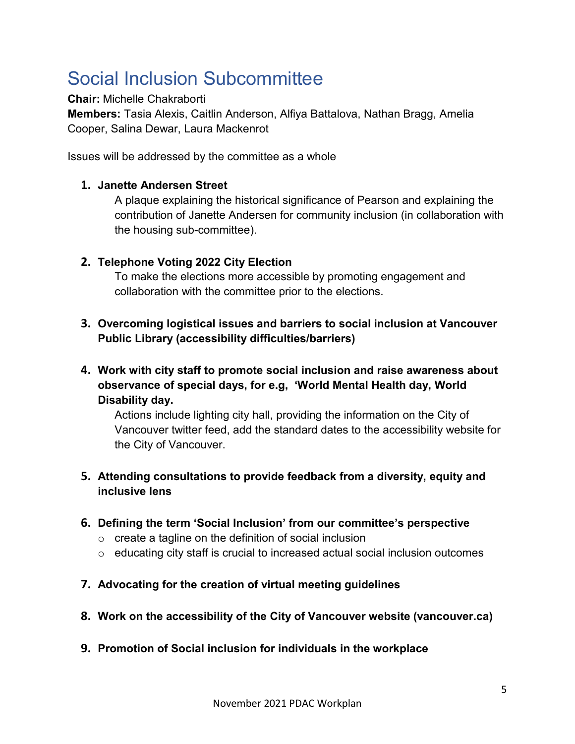# <span id="page-4-0"></span>Social Inclusion Subcommittee

**Chair:** Michelle Chakraborti

**Members:** Tasia Alexis, Caitlin Anderson, Alfiya Battalova, Nathan Bragg, Amelia Cooper, Salina Dewar, Laura Mackenrot

Issues will be addressed by the committee as a whole

#### **1. Janette Andersen Street**

A plaque explaining the historical significance of Pearson and explaining the contribution of Janette Andersen for community inclusion (in collaboration with the housing sub-committee).

#### **2. Telephone Voting 2022 City Election**

To make the elections more accessible by promoting engagement and collaboration with the committee prior to the elections.

- **3. Overcoming logistical issues and barriers to social inclusion at Vancouver Public Library (accessibility difficulties/barriers)**
- **4. Work with city staff to promote social inclusion and raise awareness about observance of special days, for e.g, 'World Mental Health day, World Disability day.**

Actions include lighting city hall, providing the information on the City of Vancouver twitter feed, add the standard dates to the accessibility website for the City of Vancouver.

#### **5. Attending consultations to provide feedback from a diversity, equity and inclusive lens**

- **6. Defining the term 'Social Inclusion' from our committee's perspective**
	- $\circ$  create a tagline on the definition of social inclusion
	- o educating city staff is crucial to increased actual social inclusion outcomes
- **7. Advocating for the creation of virtual meeting guidelines**
- **8. Work on the accessibility of the City of Vancouver website (vancouver.ca)**
- **9. Promotion of Social inclusion for individuals in the workplace**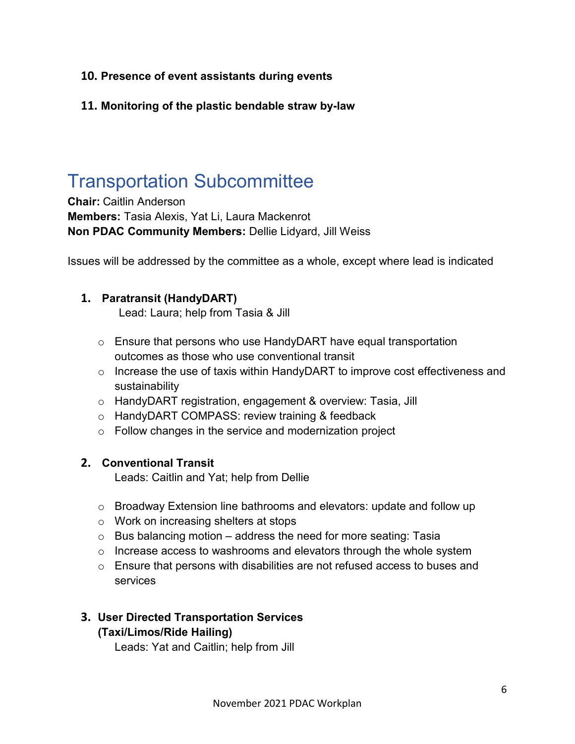#### **10. Presence of event assistants during events**

**11. Monitoring of the plastic bendable straw by-law** 

### <span id="page-5-0"></span>Transportation Subcommittee

**Chair:** Caitlin Anderson **Members:** Tasia Alexis, Yat Li, Laura Mackenrot **Non PDAC Community Members:** Dellie Lidyard, Jill Weiss

Issues will be addressed by the committee as a whole, except where lead is indicated

#### **1. Paratransit (HandyDART)**

Lead: Laura; help from Tasia & Jill

- o Ensure that persons who use HandyDART have equal transportation outcomes as those who use conventional transit
- o Increase the use of taxis within HandyDART to improve cost effectiveness and sustainability
- o HandyDART registration, engagement & overview: Tasia, Jill
- o HandyDART COMPASS: review training & feedback
- o Follow changes in the service and modernization project

#### **2. Conventional Transit**

Leads: Caitlin and Yat; help from Dellie

- o Broadway Extension line bathrooms and elevators: update and follow up
- o Work on increasing shelters at stops
- $\circ$  Bus balancing motion address the need for more seating: Tasia
- $\circ$  Increase access to washrooms and elevators through the whole system
- o Ensure that persons with disabilities are not refused access to buses and services

#### **3. User Directed Transportation Services**

#### **(Taxi/Limos/Ride Hailing)**

Leads: Yat and Caitlin; help from Jill